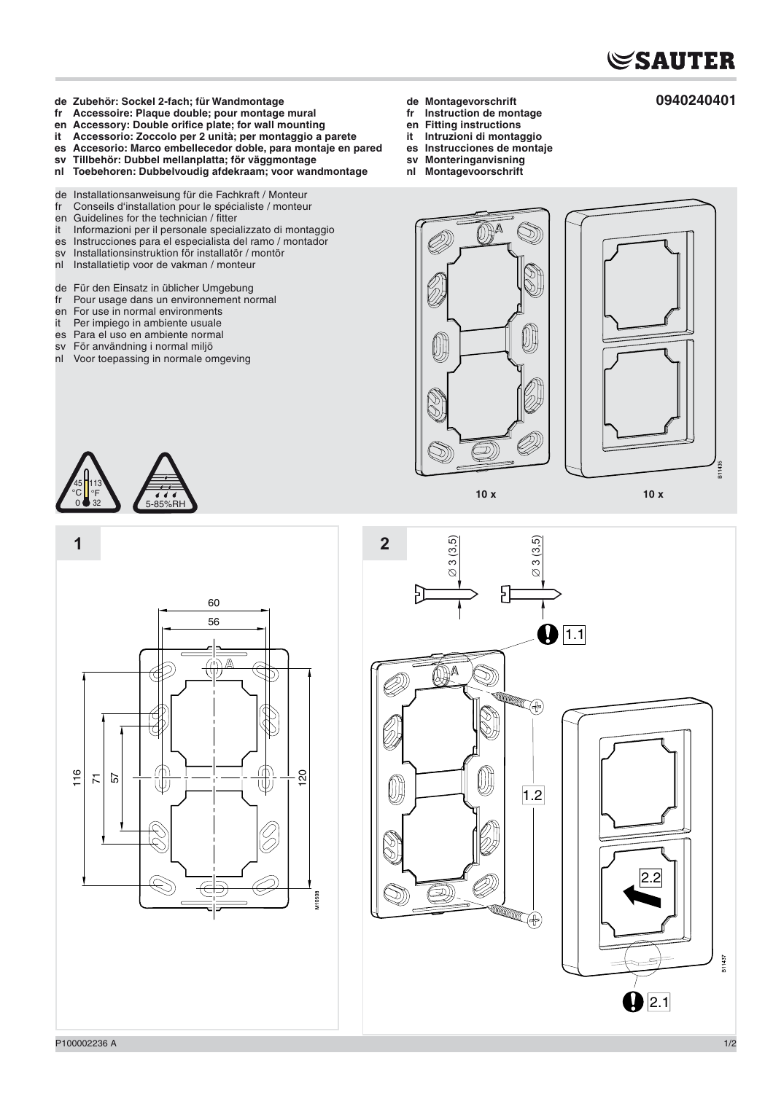

**0940240401**

- **de Zubehör: Sockel 2-fach; für Wandmontage**
- **fr Accessoire: Plaque double; pour montage mural**
- en Accessory: Double orifice plate; for wall mounting<br>it Accessorio: Zoccolo per 2 unità: per montaggio a
- **it Accessorio: Zoccolo per 2 unità; per montaggio a parete**
- **es Accesorio: Marco embellecedor doble, para montaje en pared**
- **sv Tillbehör: Dubbel mellanplatta; för väggmontage**
- **nl Toebehoren: Dubbelvoudig afdekraam; voor wandmontage**
- de Installationsanweisung für die Fachkraft / Monteur<br>fr Conseils d'installation pour le spécialiste / monteu
- fr Conseils d'installation pour le spécialiste / monteur
- en Guidelines for the technician / fitter<br>it Informazioni per il personale specia
- Informazioni per il personale specializzato di montaggio
- es Instrucciones para el especialista del ramo / montador
- sv Installationsinstruktion för installatör / montör
- Installatietip voor de vakman / monteur
- de Für den Einsatz in üblicher Umgebung
- fr Pour usage dans un environnement normal
- 
- en For use in normal environments<br>it Per impiego in ambiente usuale
- it Per impiego in ambiente usuale<br>es Para el uso en ambiente norma Para el uso en ambiente normal
- sv För användning i normal miljö
- 
- nl Voor toepassing in normale omgeving
- **de Montagevorschrift**
- **fr Instruction de montage**
- **en Fitting instructions**
- **Intruzioni di montaggio**
- **es Instrucciones de montaje**
- **sv Monteringanvisning nl Montagevoorschrift**